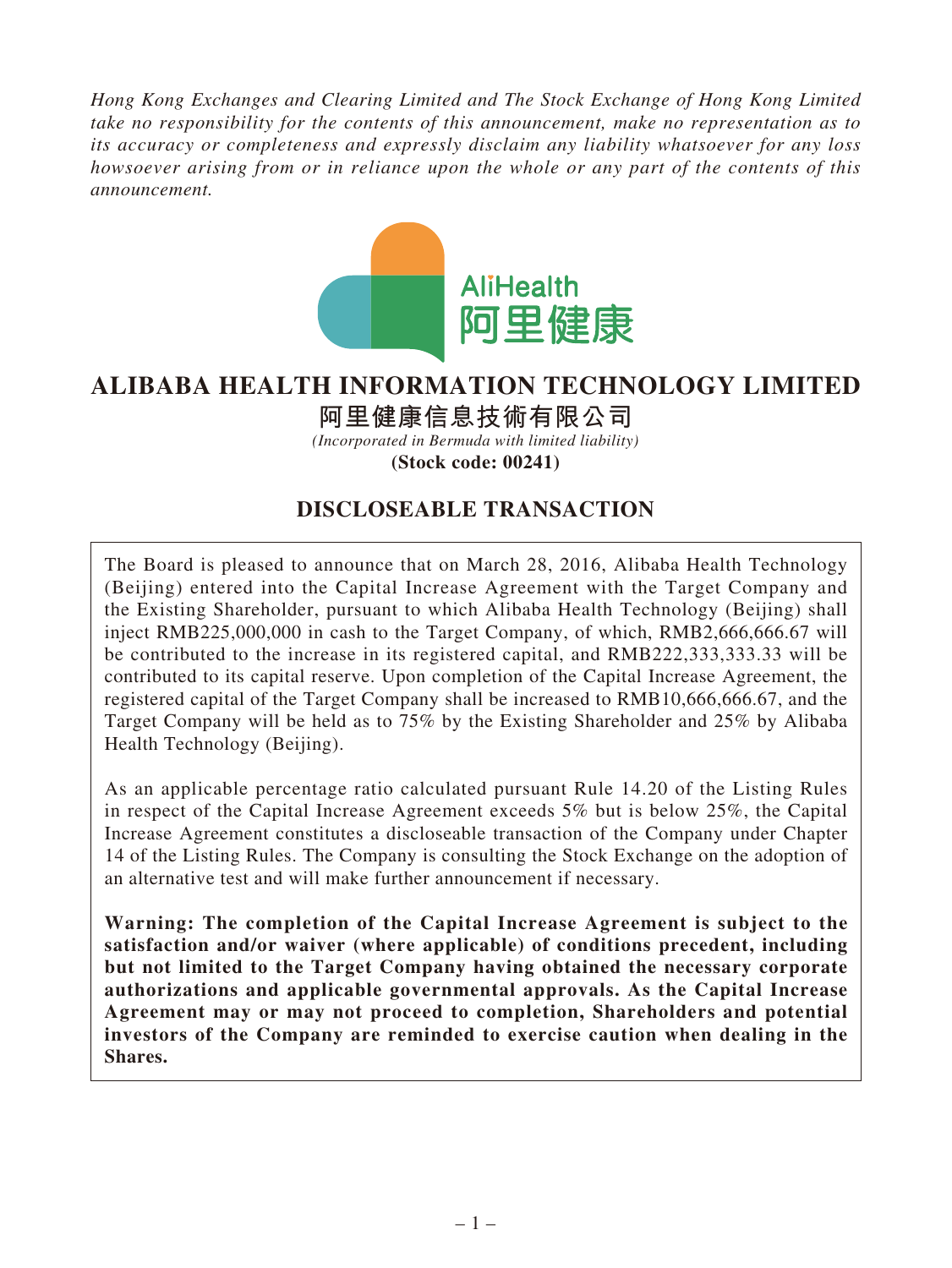*Hong Kong Exchanges and Clearing Limited and The Stock Exchange of Hong Kong Limited take no responsibility for the contents of this announcement, make no representation as to its accuracy or completeness and expressly disclaim any liability whatsoever for any loss howsoever arising from or in reliance upon the whole or any part of the contents of this announcement.*



# **ALIBABA HEALTH INFORMATION TECHNOLOGY LIMITED**

**阿里健康信息技術有限公司**

*(Incorporated in Bermuda with limited liability)* **(Stock code: 00241)**

## **DISCLOSEABLE TRANSACTION**

The Board is pleased to announce that on March 28, 2016, Alibaba Health Technology (Beijing) entered into the Capital Increase Agreement with the Target Company and the Existing Shareholder, pursuant to which Alibaba Health Technology (Beijing) shall inject RMB225,000,000 in cash to the Target Company, of which, RMB2,666,666.67 will be contributed to the increase in its registered capital, and RMB222,333,333.33 will be contributed to its capital reserve. Upon completion of the Capital Increase Agreement, the registered capital of the Target Company shall be increased to RMB10,666,666.67, and the Target Company will be held as to 75% by the Existing Shareholder and 25% by Alibaba Health Technology (Beijing).

As an applicable percentage ratio calculated pursuant Rule 14.20 of the Listing Rules in respect of the Capital Increase Agreement exceeds 5% but is below 25%, the Capital Increase Agreement constitutes a discloseable transaction of the Company under Chapter 14 of the Listing Rules. The Company is consulting the Stock Exchange on the adoption of an alternative test and will make further announcement if necessary.

**Warning: The completion of the Capital Increase Agreement is subject to the satisfaction and/or waiver (where applicable) of conditions precedent, including but not limited to the Target Company having obtained the necessary corporate authorizations and applicable governmental approvals. As the Capital Increase Agreement may or may not proceed to completion, Shareholders and potential investors of the Company are reminded to exercise caution when dealing in the Shares.**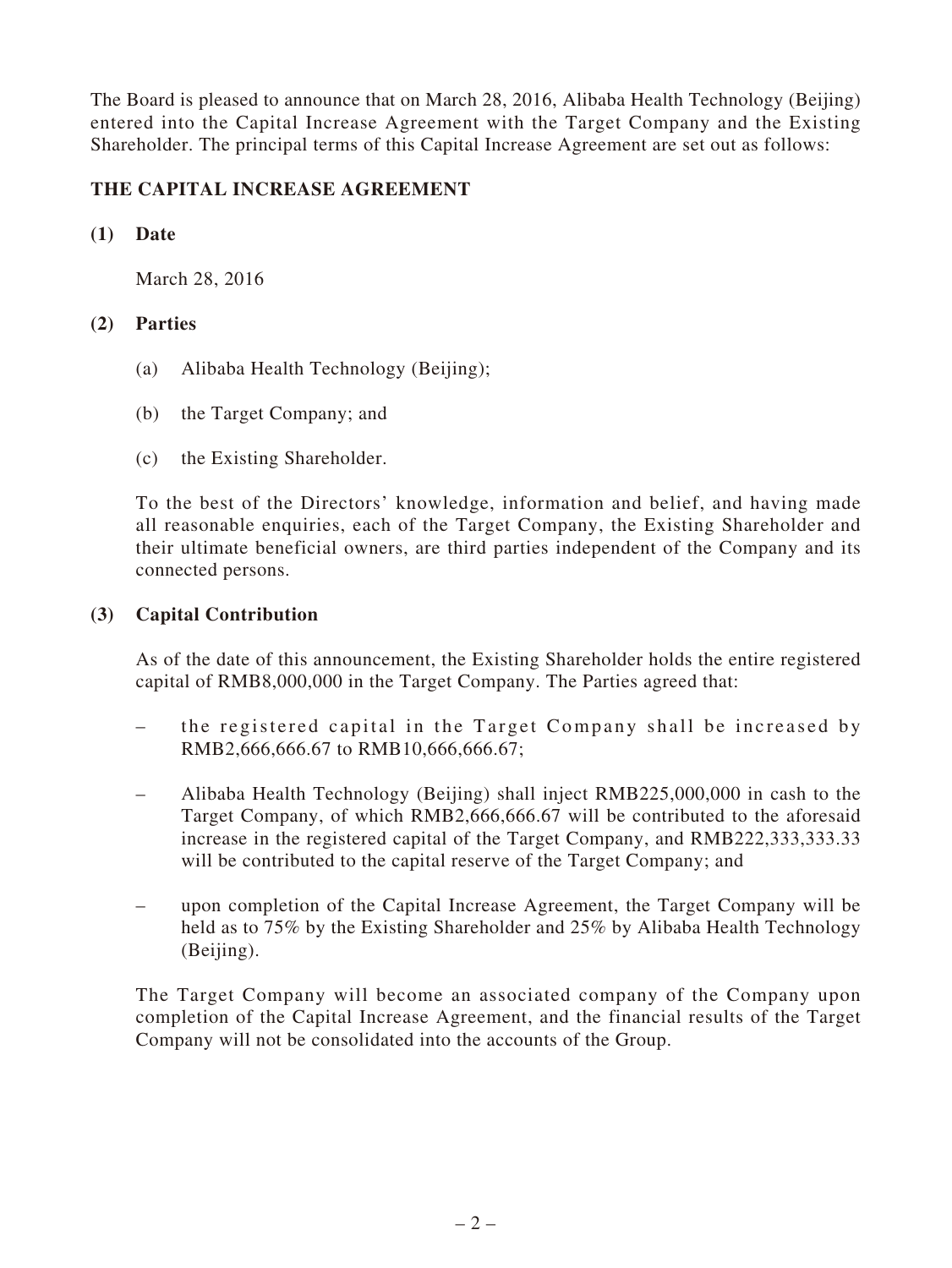The Board is pleased to announce that on March 28, 2016, Alibaba Health Technology (Beijing) entered into the Capital Increase Agreement with the Target Company and the Existing Shareholder. The principal terms of this Capital Increase Agreement are set out as follows:

## **THE CAPITAL INCREASE AGREEMENT**

#### **(1) Date**

March 28, 2016

## **(2) Parties**

- (a) Alibaba Health Technology (Beijing);
- (b) the Target Company; and
- (c) the Existing Shareholder.

To the best of the Directors' knowledge, information and belief, and having made all reasonable enquiries, each of the Target Company, the Existing Shareholder and their ultimate beneficial owners, are third parties independent of the Company and its connected persons.

## **(3) Capital Contribution**

As of the date of this announcement, the Existing Shareholder holds the entire registered capital of RMB8,000,000 in the Target Company. The Parties agreed that:

- the registered capital in the Target Company shall be increased by RMB2,666,666.67 to RMB10,666,666.67;
- Alibaba Health Technology (Beijing) shall inject RMB225,000,000 in cash to the Target Company, of which RMB2,666,666.67 will be contributed to the aforesaid increase in the registered capital of the Target Company, and RMB222,333,333.33 will be contributed to the capital reserve of the Target Company; and
- upon completion of the Capital Increase Agreement, the Target Company will be held as to 75% by the Existing Shareholder and 25% by Alibaba Health Technology (Beijing).

The Target Company will become an associated company of the Company upon completion of the Capital Increase Agreement, and the financial results of the Target Company will not be consolidated into the accounts of the Group.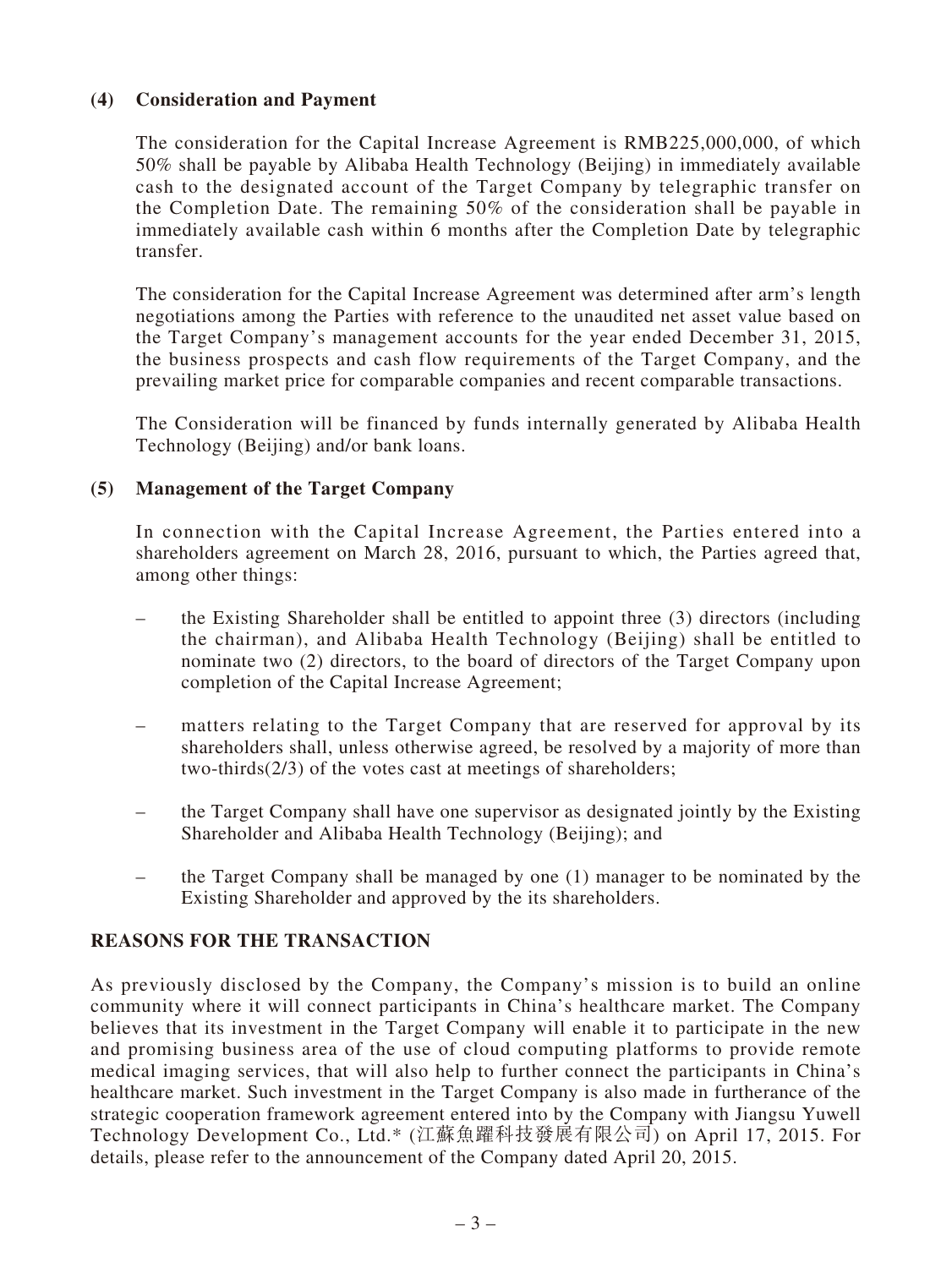## **(4) Consideration and Payment**

The consideration for the Capital Increase Agreement is RMB225,000,000, of which 50% shall be payable by Alibaba Health Technology (Beijing) in immediately available cash to the designated account of the Target Company by telegraphic transfer on the Completion Date. The remaining 50% of the consideration shall be payable in immediately available cash within 6 months after the Completion Date by telegraphic transfer.

The consideration for the Capital Increase Agreement was determined after arm's length negotiations among the Parties with reference to the unaudited net asset value based on the Target Company's management accounts for the year ended December 31, 2015, the business prospects and cash flow requirements of the Target Company, and the prevailing market price for comparable companies and recent comparable transactions.

The Consideration will be financed by funds internally generated by Alibaba Health Technology (Beijing) and/or bank loans.

## **(5) Management of the Target Company**

In connection with the Capital Increase Agreement, the Parties entered into a shareholders agreement on March 28, 2016, pursuant to which, the Parties agreed that, among other things:

- the Existing Shareholder shall be entitled to appoint three (3) directors (including the chairman), and Alibaba Health Technology (Beijing) shall be entitled to nominate two (2) directors, to the board of directors of the Target Company upon completion of the Capital Increase Agreement;
- matters relating to the Target Company that are reserved for approval by its shareholders shall, unless otherwise agreed, be resolved by a majority of more than two-thirds(2/3) of the votes cast at meetings of shareholders;
- the Target Company shall have one supervisor as designated jointly by the Existing Shareholder and Alibaba Health Technology (Beijing); and
- the Target Company shall be managed by one (1) manager to be nominated by the Existing Shareholder and approved by the its shareholders.

## **REASONS FOR THE TRANSACTION**

As previously disclosed by the Company, the Company's mission is to build an online community where it will connect participants in China's healthcare market. The Company believes that its investment in the Target Company will enable it to participate in the new and promising business area of the use of cloud computing platforms to provide remote medical imaging services, that will also help to further connect the participants in China's healthcare market. Such investment in the Target Company is also made in furtherance of the strategic cooperation framework agreement entered into by the Company with Jiangsu Yuwell Technology Development Co., Ltd.\* (江蘇魚躍科技發展有限公司) on April 17, 2015. For details, please refer to the announcement of the Company dated April 20, 2015.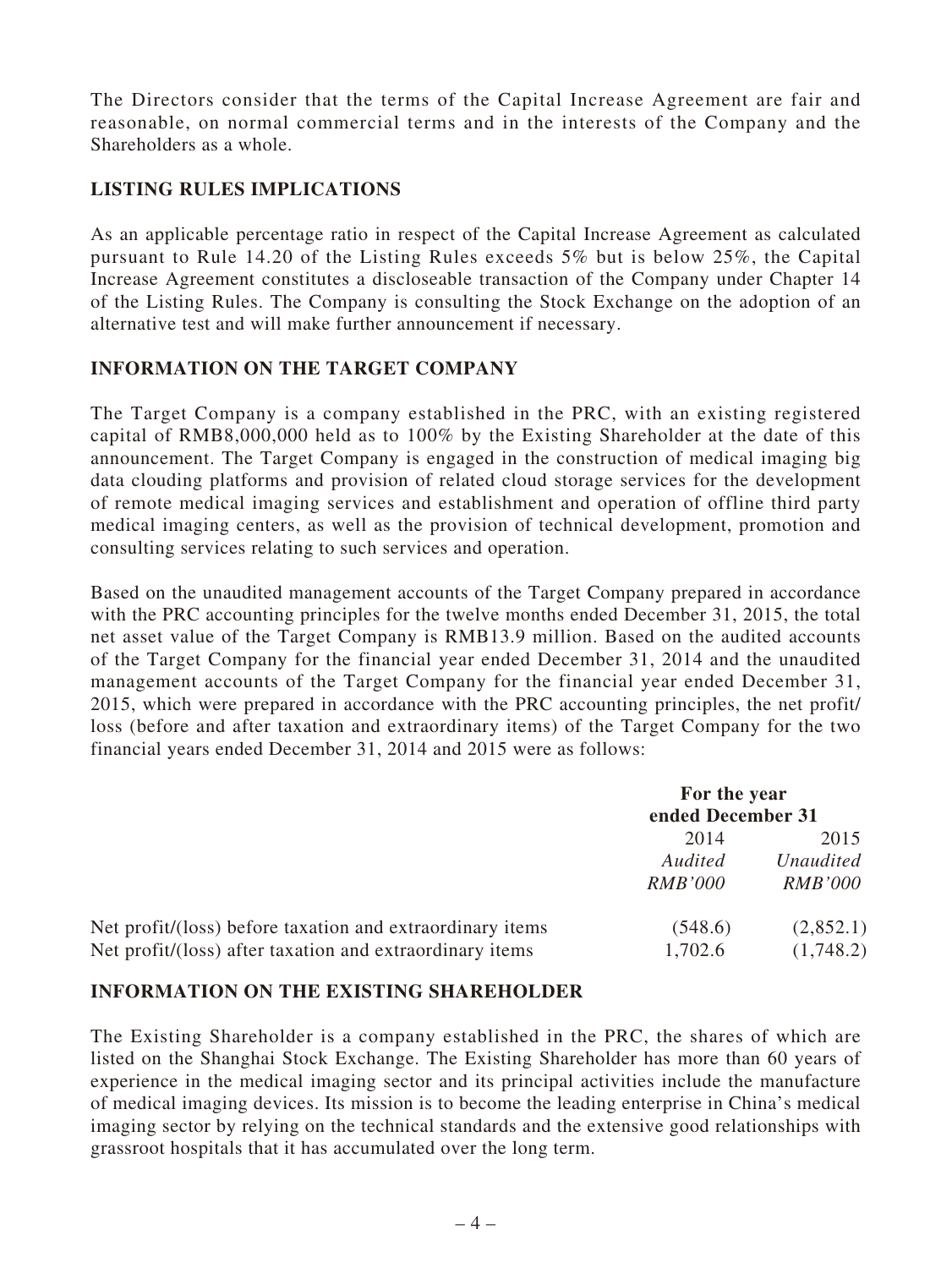The Directors consider that the terms of the Capital Increase Agreement are fair and reasonable, on normal commercial terms and in the interests of the Company and the Shareholders as a whole.

## **LISTING RULES IMPLICATIONS**

As an applicable percentage ratio in respect of the Capital Increase Agreement as calculated pursuant to Rule 14.20 of the Listing Rules exceeds 5% but is below 25%, the Capital Increase Agreement constitutes a discloseable transaction of the Company under Chapter 14 of the Listing Rules. The Company is consulting the Stock Exchange on the adoption of an alternative test and will make further announcement if necessary.

## **INFORMATION ON THE TARGET COMPANY**

The Target Company is a company established in the PRC, with an existing registered capital of RMB8,000,000 held as to 100% by the Existing Shareholder at the date of this announcement. The Target Company is engaged in the construction of medical imaging big data clouding platforms and provision of related cloud storage services for the development of remote medical imaging services and establishment and operation of offline third party medical imaging centers, as well as the provision of technical development, promotion and consulting services relating to such services and operation.

Based on the unaudited management accounts of the Target Company prepared in accordance with the PRC accounting principles for the twelve months ended December 31, 2015, the total net asset value of the Target Company is RMB13.9 million. Based on the audited accounts of the Target Company for the financial year ended December 31, 2014 and the unaudited management accounts of the Target Company for the financial year ended December 31, 2015, which were prepared in accordance with the PRC accounting principles, the net profit/ loss (before and after taxation and extraordinary items) of the Target Company for the two financial years ended December 31, 2014 and 2015 were as follows:

|                                                                                                                       | For the year<br>ended December 31 |                                     |
|-----------------------------------------------------------------------------------------------------------------------|-----------------------------------|-------------------------------------|
|                                                                                                                       | 2014<br>Audited<br><i>RMB'000</i> | 2015<br>Unaudited<br><i>RMB'000</i> |
| Net profit/(loss) before taxation and extraordinary items<br>Net profit/(loss) after taxation and extraordinary items | (548.6)<br>1,702.6                | (2,852.1)<br>(1,748.2)              |

## **INFORMATION ON THE EXISTING SHAREHOLDER**

The Existing Shareholder is a company established in the PRC, the shares of which are listed on the Shanghai Stock Exchange. The Existing Shareholder has more than 60 years of experience in the medical imaging sector and its principal activities include the manufacture of medical imaging devices. Its mission is to become the leading enterprise in China's medical imaging sector by relying on the technical standards and the extensive good relationships with grassroot hospitals that it has accumulated over the long term.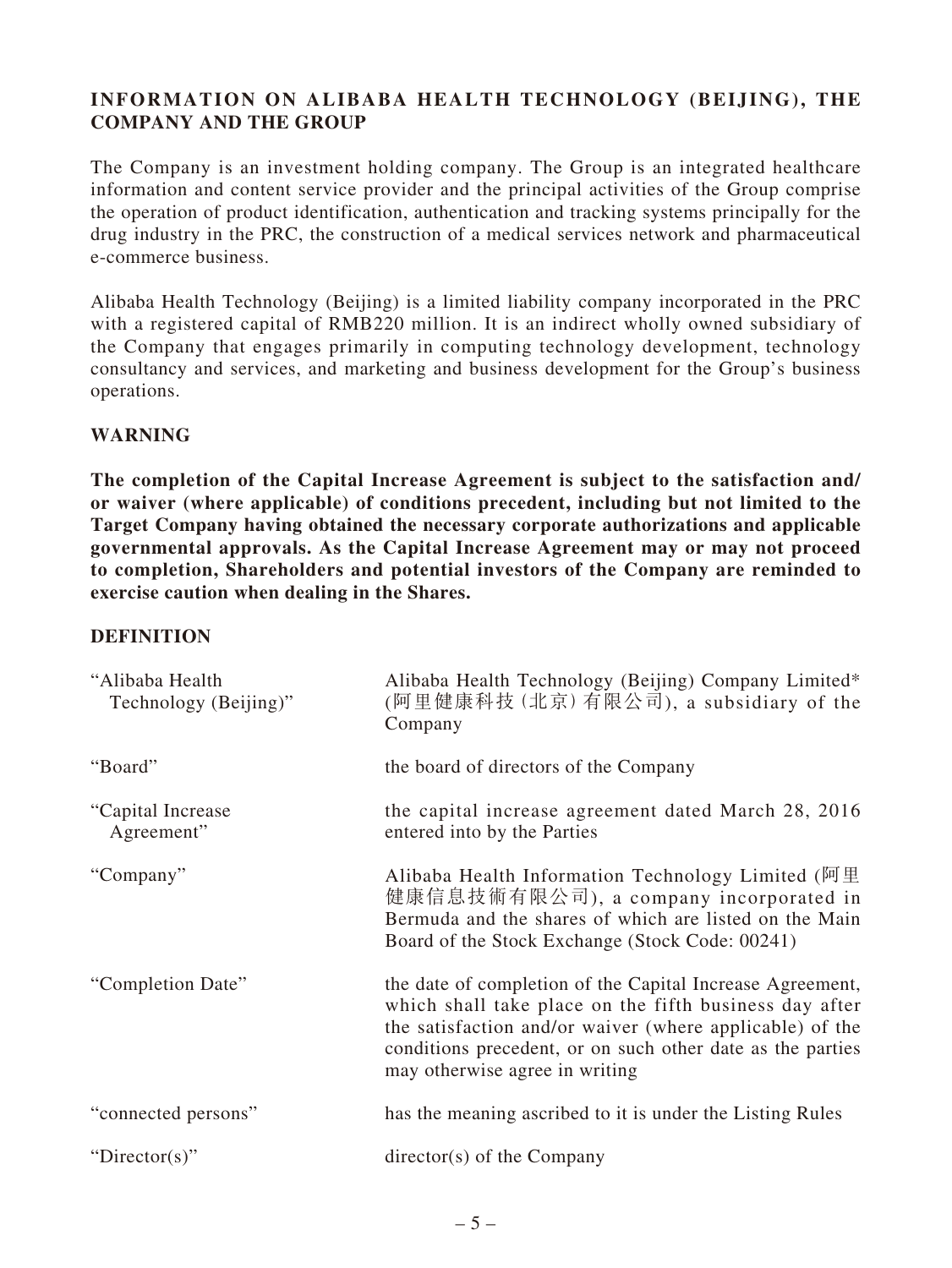## **INFORMATION ON ALIBABA HEALTH TECHNOLOGY (BEIJING), THE COMPANY AND THE GROUP**

The Company is an investment holding company. The Group is an integrated healthcare information and content service provider and the principal activities of the Group comprise the operation of product identification, authentication and tracking systems principally for the drug industry in the PRC, the construction of a medical services network and pharmaceutical e-commerce business.

Alibaba Health Technology (Beijing) is a limited liability company incorporated in the PRC with a registered capital of RMB220 million. It is an indirect wholly owned subsidiary of the Company that engages primarily in computing technology development, technology consultancy and services, and marketing and business development for the Group's business operations.

## **WARNING**

**The completion of the Capital Increase Agreement is subject to the satisfaction and/ or waiver (where applicable) of conditions precedent, including but not limited to the Target Company having obtained the necessary corporate authorizations and applicable governmental approvals. As the Capital Increase Agreement may or may not proceed to completion, Shareholders and potential investors of the Company are reminded to exercise caution when dealing in the Shares.**

#### **DEFINITION**

| "Alibaba Health<br>Technology (Beijing)" | Alibaba Health Technology (Beijing) Company Limited*<br>(阿里健康科技 (北京) 有限公司), a subsidiary of the<br>Company                                                                                                                                                                      |
|------------------------------------------|---------------------------------------------------------------------------------------------------------------------------------------------------------------------------------------------------------------------------------------------------------------------------------|
| "Board"                                  | the board of directors of the Company                                                                                                                                                                                                                                           |
| "Capital Increase"<br>Agreement"         | the capital increase agreement dated March 28, 2016<br>entered into by the Parties                                                                                                                                                                                              |
| "Company"                                | Alibaba Health Information Technology Limited (阿里<br>健康信息技術有限公司), a company incorporated in<br>Bermuda and the shares of which are listed on the Main<br>Board of the Stock Exchange (Stock Code: 00241)                                                                        |
| "Completion Date"                        | the date of completion of the Capital Increase Agreement,<br>which shall take place on the fifth business day after<br>the satisfaction and/or waiver (where applicable) of the<br>conditions precedent, or on such other date as the parties<br>may otherwise agree in writing |
| "connected persons"                      | has the meaning ascribed to it is under the Listing Rules                                                                                                                                                                                                                       |
| "Director(s)"                            | $directory(s)$ of the Company                                                                                                                                                                                                                                                   |